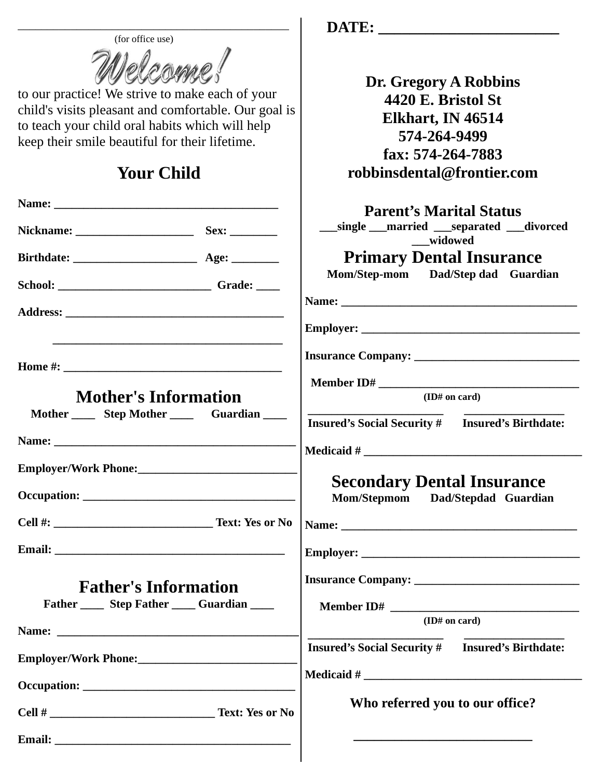| (for office use)<br>to our practice! We strive to make each of your<br>child's visits pleasant and comfortable. Our goal is<br>to teach your child oral habits which will help |  | Dr. Gregory A Robbins<br>4420 E. Bristol St<br>Elkhart, IN 46514         |                                                |  |                                                 |
|--------------------------------------------------------------------------------------------------------------------------------------------------------------------------------|--|--------------------------------------------------------------------------|------------------------------------------------|--|-------------------------------------------------|
|                                                                                                                                                                                |  |                                                                          | keep their smile beautiful for their lifetime. |  | 574-264-9499                                    |
|                                                                                                                                                                                |  |                                                                          | <b>Your Child</b>                              |  | fax: 574-264-7883<br>robbinsdental@frontier.com |
|                                                                                                                                                                                |  | <b>Parent's Marital Status</b>                                           |                                                |  |                                                 |
|                                                                                                                                                                                |  | __single __married __separated __divorced<br>widowed                     |                                                |  |                                                 |
|                                                                                                                                                                                |  | <b>Primary Dental Insurance</b>                                          |                                                |  |                                                 |
| School: __________________________Grade: _____                                                                                                                                 |  | Mom/Step-mom Dad/Step dad Guardian                                       |                                                |  |                                                 |
|                                                                                                                                                                                |  |                                                                          |                                                |  |                                                 |
|                                                                                                                                                                                |  |                                                                          |                                                |  |                                                 |
|                                                                                                                                                                                |  |                                                                          |                                                |  |                                                 |
|                                                                                                                                                                                |  |                                                                          |                                                |  |                                                 |
|                                                                                                                                                                                |  |                                                                          |                                                |  |                                                 |
| <b>Mother's Information</b><br>Mother _______ Step Mother _________ Guardian _____                                                                                             |  | (ID# on card)                                                            |                                                |  |                                                 |
|                                                                                                                                                                                |  | <b>Insured's Social Security # Insured's Birthdate:</b>                  |                                                |  |                                                 |
|                                                                                                                                                                                |  |                                                                          |                                                |  |                                                 |
|                                                                                                                                                                                |  |                                                                          |                                                |  |                                                 |
|                                                                                                                                                                                |  |                                                                          |                                                |  |                                                 |
|                                                                                                                                                                                |  | <b>Secondary Dental Insurance</b><br>Mom/Stepmom<br>Dad/Stepdad Guardian |                                                |  |                                                 |
|                                                                                                                                                                                |  |                                                                          |                                                |  |                                                 |
|                                                                                                                                                                                |  |                                                                          |                                                |  |                                                 |
|                                                                                                                                                                                |  |                                                                          |                                                |  |                                                 |
|                                                                                                                                                                                |  |                                                                          |                                                |  |                                                 |
| <b>Father's Information</b>                                                                                                                                                    |  |                                                                          |                                                |  |                                                 |
| Father Step Father Suardian                                                                                                                                                    |  |                                                                          |                                                |  |                                                 |
|                                                                                                                                                                                |  | (ID# on card)                                                            |                                                |  |                                                 |
|                                                                                                                                                                                |  | <b>Insured's Social Security # Insured's Birthdate:</b>                  |                                                |  |                                                 |
|                                                                                                                                                                                |  |                                                                          |                                                |  |                                                 |
|                                                                                                                                                                                |  |                                                                          |                                                |  |                                                 |
|                                                                                                                                                                                |  | Who referred you to our office?                                          |                                                |  |                                                 |
|                                                                                                                                                                                |  |                                                                          |                                                |  |                                                 |
|                                                                                                                                                                                |  |                                                                          |                                                |  |                                                 |
|                                                                                                                                                                                |  |                                                                          |                                                |  |                                                 |